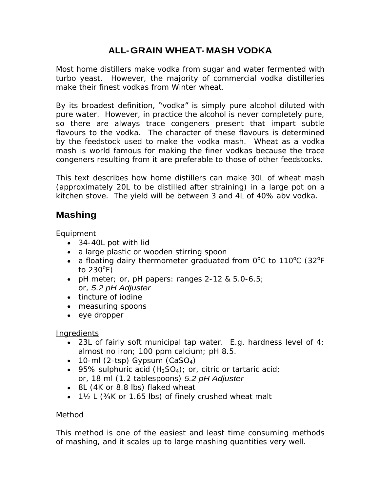# **ALL-GRAIN WHEAT- MASH VODKA**

Most home distillers make vodka from sugar and water fermented with turbo yeast. However, the majority of commercial vodka distilleries make their finest vodkas from Winter wheat.

By its broadest definition, "vodka" is simply pure alcohol diluted with pure water. However, in practice the alcohol is never completely pure, so there are always trace congeners present that impart subtle flavours to the vodka. The character of these flavours is determined by the feedstock used to make the vodka mash. Wheat as a vodka mash is world famous for making the finer vodkas because the trace congeners resulting from it are preferable to those of other feedstocks.

This text describes how home distillers can make 30L of wheat mash (approximately 20L to be distilled after straining) in a large pot on a kitchen stove. The yield will be between 3 and 4L of 40% abv vodka.

## **Mashing**

Equipment

- 34-40L pot with lid
- a large plastic or wooden stirring spoon
- a floating dairy thermometer graduated from  $0^{\circ}$ C to 110 $^{\circ}$ C (32 $^{\circ}$ F  $\rm ^{o}C$  to 110 $\rm ^{o}C$  (32 $\rm ^{o}F$  $\rm ^{o}C$  (32 $\rm ^{o}F$  $\overline{O}_{\overline{L}}$ F<sub>ind</sub> to  $230^{\circ}$ F) F) and the contract of the contract of the contract of the contract of the contract of the contract of the contract of the contract of the contract of the contract of the contract of the contract of the contract of the con
- pH meter; or, pH papers: ranges 2-12 & 5.0-6.5; or, 5.2 pH Adjuster
- tincture of iodine
- measuring spoons
- eye dropper

### Ingredients

- 23L of fairly soft municipal tap water. E.g. hardness level of  $4$ ; almost no iron; 100 ppm calcium; pH 8.5.
- $\bullet$  10-ml (2-tsp) Gypsum (CaSO<sub>4</sub>)
- 95% sulphuric acid  $(H_2SO_4)$ ; or, citric or tartaric acid; or, 18 ml (1.2 tablespoons) 5.2 pH Adjuster
- 8L (4K or 8.8 lbs) flaked wheat
- $\bullet$  1½ L (34K or 1.65 lbs) of finely crushed wheat malt

### Method

This method is one of the easiest and least time consuming methods of mashing, and it scales up to large mashing quantities very well.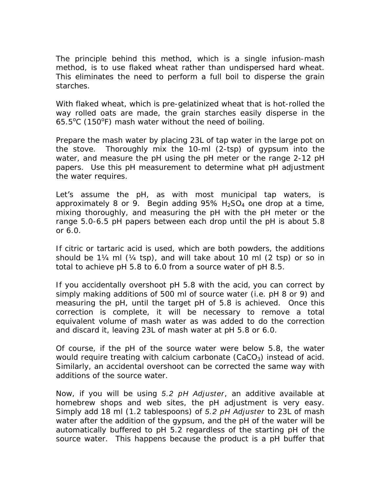The principle behind this method, which is a single infusion-mash method, is to use flaked wheat rather than undispersed hard wheat. This eliminates the need to perform a full boil to disperse the grain starches. The state of the state of the state of the state of the state of the state of the state of the state of the state of the state of the state of the state of the state of the state of the state of the state of the

With flaked wheat, which is pre-gelatinized wheat that is hot-rolled the way rolled oats are made, the grain starches easily disperse in the  $65.5^{\circ}$ C (150 $^{\circ}$ F) mash water without the need of boiling.

Prepare the mash water by placing 23L of tap water in the large pot on the stove. Thoroughly mix the 10-ml (2-tsp) of gypsum into the water, and measure the pH using the pH meter or the range 2-12 pH papers. Use this pH measurement to determine what pH adjustment the water requires.

Let's assume the pH, as with most municipal tap waters, is approximately 8 or 9. Begin adding  $95\%$  H<sub>2</sub>SO<sub>4</sub> one drop at a time, mixing thoroughly, and measuring the pH with the pH meter or the range 5.0-6.5 pH papers between each drop until the pH is about 5.8 or  $6.0.$ 

If citric or tartaric acid is used, which are both powders, the additions should be  $1\frac{1}{4}$  ml  $(\frac{1}{4} \text{ tsp})$ , and will take about 10 ml  $(2 \text{ tsp})$  or so in total to achieve pH 5.8 to 6.0 from a source water of pH 8.5.

If you accidentally overshoot pH 5.8 with the acid, you can correct by simply making additions of 500 ml of source water (i.e. pH 8 or 9) and measuring the pH, until the target pH of 5.8 is achieved. Once this correction is complete, it will be necessary to remove a total equivalent volume of mash water as was added to do the correction and discard it, leaving 23L of mash water at pH 5.8 or 6.0.

Of course, if the pH of the source water were below 5.8, the water would require treating with calcium carbonate  $(CaCO<sub>3</sub>)$  instead of acid. Similarly, an accidental overshoot can be corrected the same way with additions of the source water.

Now, if you will be using 5.2 pH Adjuster, an additive available at homebrew shops and web sites, the pH adjustment is very easy. Simply add 18 ml (1.2 tablespoons) of 5.2 pH Adjuster to 23L of mash water after the addition of the gypsum, and the pH of the water will be automatically buffered to pH 5.2 regardless of the starting pH of the source water. This happens because the product is a pH buffer that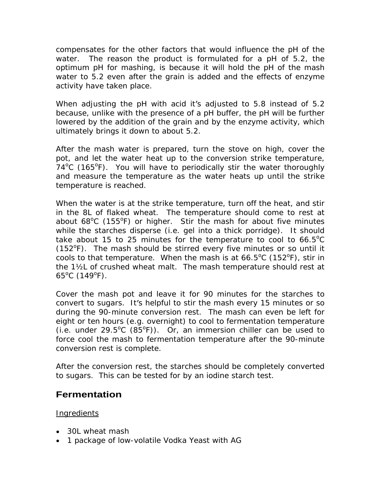compensates for the other factors that would influence the pH of the water. The reason the product is formulated for a pH of 5.2, the optimum pH for mashing, is because it will hold the pH of the mash water to 5.2 even after the grain is added and the effects of enzyme activity have taken place.

When adjusting the pH with acid it's adjusted to 5.8 instead of 5.2 because, unlike with the presence of a pH buffer, the pH will be further lowered by the addition of the grain and by the enzyme activity, which ultimately brings it down to about 5.2.

After the mash water is prepared, turn the stove on high, cover the pot, and let the water heat up to the conversion strike temperature,  $74^{\circ}$ C (165 $^{\circ}$ F). You will have to periodically stir the water thoroughly and measure the temperature as the water heats up until the strike temperature is reached.

When the water is at the strike temperature, turn off the heat, and stir in the 8L of flaked wheat. The temperature should come to rest at about 68<sup>o</sup>C (155<sup>o</sup>F) or higher. Stir the mash for about five minutes while the starches disperse (i.e. gel into a thick porridge). It should take about 15 to 25 minutes for the temperature to cool to  $66.5^{\circ}$ C  $^{\circ}$ C (152<sup>o</sup>F). The mash should be stirred every five minutes or so until it cools to that temperature. When the mash is at  $66.5^{\circ}$ C (152 $^{\circ}$ F), stir in F), stir in the 1½L of crushed wheat malt. The mash temperature should rest at  $65^{\circ}$ C (149 $^{\circ}$ F). F).

Cover the mash pot and leave it for 90 minutes for the starches to convert to sugars. It's helpful to stir the mash every 15 minutes or so during the 90-minute conversion rest. The mash can even be left for eight or ten hours (e.g. overnight) to cool to fermentation temperature (i.e. under 29.5°C  $(85^{\circ}F)$ ). Or, an immersion chiller can be used to force cool the mash to fermentation temperature after the 90-minute conversion rest is complete.

After the conversion rest, the starches should be completely converted to sugars. This can be tested for by an iodine starch test.

## **Fermentation**

Ingredients

- 30L wheat mash
- 1 package of low-volatile Vodka Yeast with AG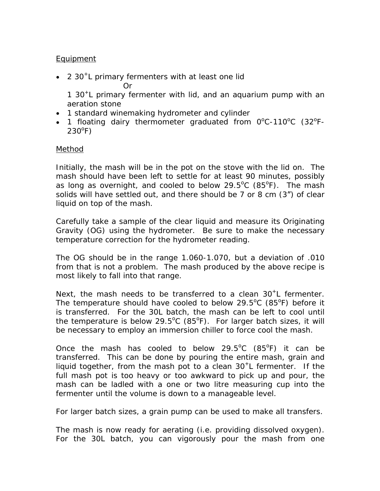#### Equipment

2 30<sup>+</sup> L primary fermenters with at least one lid Or and the state of the state of the state of the state of the state of the state of the state of the state of

1 30+ L primary fermenter with lid, and an aquarium pump with an aeration stone

- 1 standard winemaking hydrometer and cylinder
- 1 floating dairy thermometer graduated from  $0^{\circ}$ C-110 $^{\circ}$ C (32 $^{\circ}$ F- $\mathrm{^oC}$ -110 $\mathrm{^oC}$  (32 $\mathrm{^oF}$ - $\mathbf{O}_{\mathbf{C}}$ F-  $(230^{\circ}F)$ F)

#### Method

Initially, the mash will be in the pot on the stove with the lid on. The mash should have been left to settle for at least 90 minutes, possibly as long as overnight, and cooled to below  $29.5^{\circ}$ C (85 $^{\circ}$ F). The mash  $\rm ^{o}C$  (85 $\rm ^{o}F$ ). The mash o F). The mash solids will have settled out, and there should be  $7$  or  $8$  cm  $(3'')$  of clear liquid on top of the mash.

Carefully take a sample of the clear liquid and measure its Originating Gravity (OG) using the hydrometer. Be sure to make the necessary temperature correction for the hydrometer reading.

The OG should be in the range 1.060-1.070, but a deviation of .010 from that is not a problem. The mash produced by the above recipe is most likely to fall into that range.

Next, the mash needs to be transferred to a clean  $30<sup>+</sup>$ L fermenter. L fermenter. The temperature should have cooled to below  $29.5^{\circ}$ C (85 $^{\circ}$ F) before it  $^{\circ}$ C (85 $^{\circ}$ F) before it  $^0$ E) hoforo it F) before it is transferred. For the 30L batch, the mash can be left to cool until the temperature is below 29.5°C (85°F). For larger batch sizes, it will be necessary to employ an immersion chiller to force cool the mash.

Once the mash has cooled to below  $29.5^{\circ}$ C (85 $^{\circ}$ F) it can be  $^{\circ}$ C (85 $^{\circ}$ F) it can be  $^0$ E) it can be F) it can be transferred. This can be done by pouring the entire mash, grain and liquid together, from the mash pot to a clean  $30<sup>+</sup>$ L fermenter. If the L fermenter. If the full mash pot is too heavy or too awkward to pick up and pour, the mash can be ladled with a one or two litre measuring cup into the fermenter until the volume is down to a manageable level.

For larger batch sizes, a grain pump can be used to make all transfers.

The mash is now ready for aerating (i.e. providing dissolved oxygen). For the 30L batch, you can vigorously pour the mash from one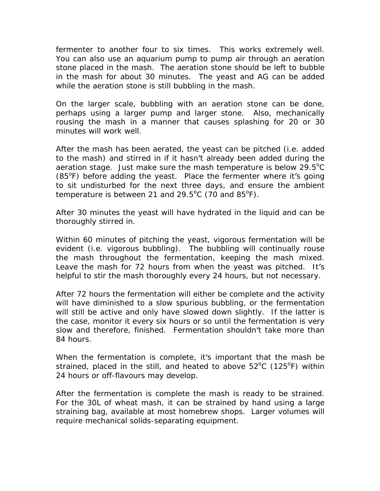fermenter to another four to six times. This works extremely well. You can also use an aquarium pump to pump air through an aeration stone placed in the mash. The aeration stone should be left to bubble in the mash for about 30 minutes. The yeast and AG can be added while the aeration stone is still bubbling in the mash.

On the larger scale, bubbling with an aeration stone can be done, perhaps using a larger pump and larger stone. Also, mechanically rousing the mash in a manner that causes splashing for 20 or 30 minutes will work well.

After the mash has been aerated, the yeast can be pitched (i.e. added to the mash) and stirred in if it hasn't already been added during the aeration stage. Just make sure the mash temperature is below 29.5°C  $^{\circ}$ C (85°F) before adding the yeast. Place the fermenter where it's going to sit undisturbed for the next three days, and ensure the ambient temperature is between 21 and  $29.5^{\circ}$ C (70 and  $85^{\circ}$ F). F).

After 30 minutes the yeast will have hydrated in the liquid and can be thoroughly stirred in.

Within 60 minutes of pitching the yeast, vigorous fermentation will be evident (i.e. vigorous bubbling). The bubbling will continually rouse the mash throughout the fermentation, keeping the mash mixed. Leave the mash for 72 hours from when the yeast was pitched. It's helpful to stir the mash thoroughly every 24 hours, but not necessary.

After 72 hours the fermentation will either be complete and the activity will have diminished to a slow spurious bubbling, or the fermentation will still be active and only have slowed down slightly. If the latter is the case, monitor it every six hours or so until the fermentation is very slow and therefore, finished. Fermentation shouldn't take more than 84 hours.

When the fermentation is complete, it's important that the mash be strained, placed in the still, and heated to above  $52^{\circ}$ C (125 $^{\circ}$ F) within  $\rm ^{o}C$  (125 $\rm ^{o}F)$  within  $^0$ E) within F) within 24 hours or off-flavours may develop.

After the fermentation is complete the mash is ready to be strained. For the 30L of wheat mash, it can be strained by hand using a large straining bag, available at most homebrew shops. Larger volumes will require mechanical solids-separating equipment.